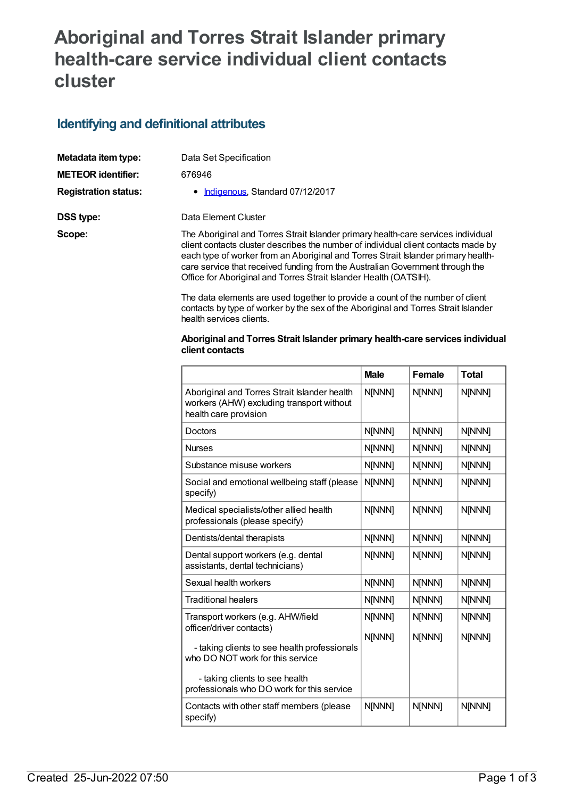## **Aboriginal and Torres Strait Islander primary health-care service individual client contacts cluster**

## **Identifying and definitional attributes**

| Metadata item type:         | Data Set Specification                                                                                                                                                                                                                                                                                                                        |
|-----------------------------|-----------------------------------------------------------------------------------------------------------------------------------------------------------------------------------------------------------------------------------------------------------------------------------------------------------------------------------------------|
| <b>METEOR identifier:</b>   | 676946                                                                                                                                                                                                                                                                                                                                        |
| <b>Registration status:</b> | • Indigenous, Standard 07/12/2017                                                                                                                                                                                                                                                                                                             |
| DSS type:                   | Data Element Cluster                                                                                                                                                                                                                                                                                                                          |
| Scope:                      | The Aboriginal and Torres Strait Islander primary health-care services individual<br>client contacts cluster describes the number of individual client contacts made by<br>each type of worker from an Aboriginal and Torres Strait Islander primary health-<br>care service that received funding from the Australian Government through the |

The data elements are used together to provide a count of the number of client contacts by type of worker by the sex of the Aboriginal and Torres Strait Islander health services clients.

Office for Aboriginal and Torres Strait Islander Health (OATSIH).

## **Aboriginal and Torres Strait Islander primary health-care services individual client contacts**

|                                                                                                                    | <b>Male</b>      | Female           | <b>Total</b>     |
|--------------------------------------------------------------------------------------------------------------------|------------------|------------------|------------------|
| Aboriginal and Torres Strait Islander health<br>workers (AHW) excluding transport without<br>health care provision | N[NNN]           | N[NNN]           | N[NNN]           |
| Doctors                                                                                                            | N[NNN]           | N[NNN]           | N[NNN]           |
| <b>Nurses</b>                                                                                                      | N[NNN]           | N[NNN]           | N[NNN]           |
| Substance misuse workers                                                                                           | N[NNN]           | N[NNN]           | N[NNN]           |
| Social and emotional wellbeing staff (please<br>specify)                                                           | N[NNN]           | N[NNN]           | N[NNN]           |
| Medical specialists/other allied health<br>professionals (please specify)                                          | N[NNN]           | N[NNN]           | N[NNN]           |
| Dentists/dental therapists                                                                                         | N[NNN]           | N[NNN]           | N[NNN]           |
| Dental support workers (e.g. dental<br>assistants, dental technicians)                                             | N[NNN]           | N[NNN]           | N[NNN]           |
| Sexual health workers                                                                                              | N[NNN]           | N[NNN]           | N[NNN]           |
| <b>Traditional healers</b>                                                                                         | N[NNN]           | N[NNN]           | N[NNN]           |
| Transport workers (e.g. AHW/field<br>officer/driver contacts)                                                      | N[NNN]<br>N[NNN] | N[NNN]<br>N[NNN] | N[NNN]<br>N[NNN] |
| - taking clients to see health professionals<br>who DO NOT work for this service<br>- taking clients to see health |                  |                  |                  |
| professionals who DO work for this service                                                                         |                  |                  |                  |
| Contacts with other staff members (please<br>specify)                                                              | N[NNN]           | N[NNN]           | N[NNN]           |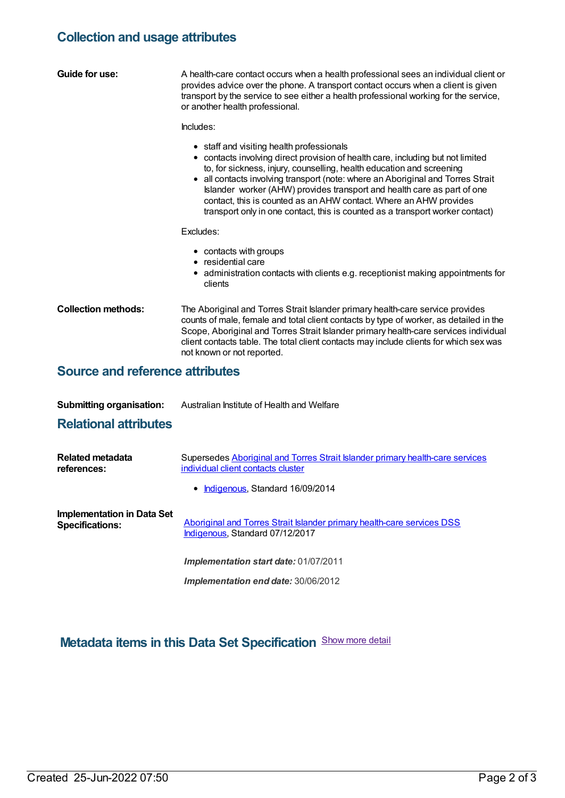## **Collection and usage attributes**

| Guide for use:                         | A health-care contact occurs when a health professional sees an individual client or<br>provides advice over the phone. A transport contact occurs when a client is given<br>transport by the service to see either a health professional working for the service,<br>or another health professional.                                                                                                                                                                                                                     |  |  |  |
|----------------------------------------|---------------------------------------------------------------------------------------------------------------------------------------------------------------------------------------------------------------------------------------------------------------------------------------------------------------------------------------------------------------------------------------------------------------------------------------------------------------------------------------------------------------------------|--|--|--|
|                                        | Includes:                                                                                                                                                                                                                                                                                                                                                                                                                                                                                                                 |  |  |  |
|                                        | • staff and visiting health professionals<br>• contacts involving direct provision of health care, including but not limited<br>to, for sickness, injury, counselling, health education and screening<br>• all contacts involving transport (note: where an Aboriginal and Torres Strait<br>Islander worker (AHW) provides transport and health care as part of one<br>contact, this is counted as an AHW contact. Where an AHW provides<br>transport only in one contact, this is counted as a transport worker contact) |  |  |  |
|                                        | Excludes:                                                                                                                                                                                                                                                                                                                                                                                                                                                                                                                 |  |  |  |
|                                        | • contacts with groups<br>• residential care<br>• administration contacts with clients e.g. receptionist making appointments for<br>clients                                                                                                                                                                                                                                                                                                                                                                               |  |  |  |
| <b>Collection methods:</b>             | The Aboriginal and Torres Strait Islander primary health-care service provides<br>counts of male, female and total client contacts by type of worker, as detailed in the<br>Scope, Aboriginal and Torres Strait Islander primary health-care services individual<br>client contacts table. The total client contacts may include clients for which sex was<br>not known or not reported.                                                                                                                                  |  |  |  |
| <b>Source and reference attributes</b> |                                                                                                                                                                                                                                                                                                                                                                                                                                                                                                                           |  |  |  |
|                                        |                                                                                                                                                                                                                                                                                                                                                                                                                                                                                                                           |  |  |  |
| <b>Submitting organisation:</b>        | Australian Institute of Health and Welfare                                                                                                                                                                                                                                                                                                                                                                                                                                                                                |  |  |  |
| <b>Relational attributes</b>           |                                                                                                                                                                                                                                                                                                                                                                                                                                                                                                                           |  |  |  |

| Related metadata<br>references:                      | Supersedes Aboriginal and Torres Strait Islander primary health-care services<br>individual client contacts cluster<br>• Indigenous, Standard 16/09/2014 |
|------------------------------------------------------|----------------------------------------------------------------------------------------------------------------------------------------------------------|
| Implementation in Data Set<br><b>Specifications:</b> | Aboriginal and Torres Strait Islander primary health-care services DSS<br>Indigenous, Standard 07/12/2017                                                |
|                                                      | <b>Implementation start date: 01/07/2011</b>                                                                                                             |

*Implementation end date:* 30/06/2012

**Metadata items in this Data Set Specification** Show more detail